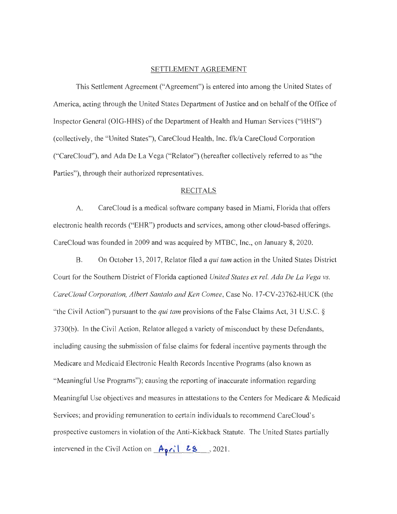#### SETTLEMENT AGREEMENT

This Settlement Agreement ("Agreement") is entered into among the United States of America, acting through the United States Department of Justice and on behalf of the Office of Inspector General (OIG-HHS) of the Department of Health and Human Services ("HHS") (collectively, the "United States"), CareCloud Health, Inc. f/k/a CareCloud Corporation ("CareCloud"), and Ada De La Vega ("Relator") (hereafter collectively referred to as "the Parties"), through their authorized representatives.

### RECITALS

A. CareCloud is a medical software company based in Miami, Florida that offers electronic health records ("EHR") products and services, among other cloud-based offerings. CareCloud was founded in 2009 and was acquired by MTBC, Inc., on January 8, 2020.

B. On October 13 , 2017, Relator filed a *qui tam* action in the United States District Court for the Southern District of Florida captioned *United States ex rel. Ada De La Vega vs. CareC!oud Corporation, Albert Santa/a and Ken Comee,* Case No. 17-CV-23762-HUCK (the "the Civil Action") pursuant to the *qui tam* provisions of the False Claims Act, 31 U.S.C. § 3730(b). In the Civil Action, Relator alleged a variety of misconduct by these Defendants, including causing the submission of false claims for federal incentive payments through the Medicare and Medicaid Electronic Health Records Incentive Programs (also known as "Meaningful Use Programs"); causing the reporting of inaccurate information regarding Meaningful Use objectives and measures in attestations to the Centers for Medicare & Medicaid Services; and providing remuneration to certain individuals to recommend CareCloud's prospective customers in violation of the Anti-Kickback Statute. The United States partially intervened in the Civil Action on  $\frac{A_{\gamma}}{28}$ , 2021.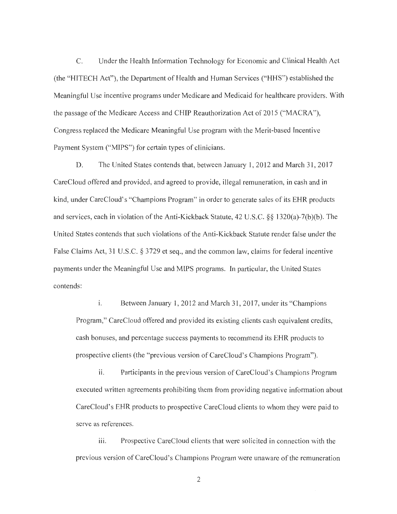C. Under the Health Information Technology for Economic and Clinical Health Act (the "HITECH Act"), the Department of Health and Human Services ("HHS") established the Meaningful Use incentive programs under Medicare and Medicaid for healthcare providers. With the passage of the Medicare Access and CHIP Reauthorization Act of 2015 ("MACRA"), Congress replaced the Medicare Meaningful Use program with the Merit-based Incentive Payment System ("MIPS") for certain types of clinicians.

D. The United States contends that, between January 1, 2012 and March 31, 2017 CareCloud offered and provided, and agreed to provide, illegal remuneration, in cash and in kind, under CareCloud's "Champions Program" in order to generate sales of its EHR products and services, each in violation of the Anti-Kickback Statute, 42 U.S.C. §§ 1320(a)-7(b)(b). The United States contends that such violations of the Anti-Kickback Statute render false under the False Claims Act, 31 U.S.C. § 3729 et seq., and the common law, claims for federal incentive payments under the Meaningful Use and MIPS programs. In particular, the United States contends:

i. Between January 1, 2012 and March 31, 2017, under its "Champions" Program," CareCloud offered and provided its existing clients cash equivalent credits, cash bonuses, and percentage success payments to recommend its EHR products to prospective clients (the "previous version of CareCloud 's Champions Program").

ii. Participants in the previous version of CareCloud's Champions Program executed written agreements prohibiting them from providing negative information about CareCloud's EHR products to prospective CareCloud clients to whom they were paid to serve as references.

iii. Prospective CareCloud clients that were solicited in connection with the previous version of CareCloud's Champions Program were unaware of the remuneration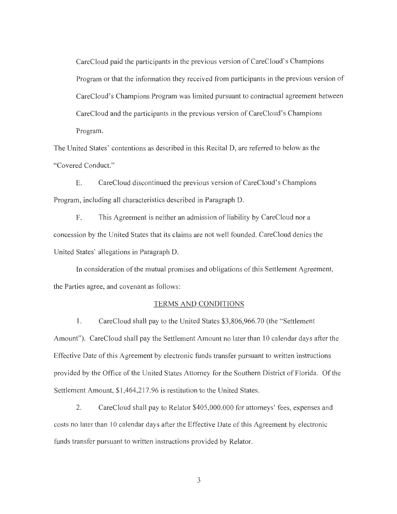CareCloud paid the participants in the previous version of CareCloud's Champions Program or that the information they received from participants in the previous version of CareCloud's Champions Program was limited pursuant to contractual agreement between CareCloud and the participants in the previous version of CareCloud's Champions Program.

The United States' contentions as described in this Recital D, are referred to below as the "Covered Conduct."

E. CareCloud discontinued the previous version of CareCloud 's Champions Program, including all characteristics described in Paragraph D.

F. This Agreement is neither an admission of liability by CareCloud nor a concession by the United States that its claims are not well founded. CareCloud denies the United States' allegations in Paragraph D.

In consideration of the mutual promises and obligations of this Settlement Agreement, the Parties agree, and covenant as follows:

### TERMS AND CONDITIONS

l. CareCloud shall pay to the United States \$3,806,966.70 (the "Settlement Amount"). CareCloud shall pay the Settlement Amount no later than 10 calendar days after the Effective Date of this Agreement by electronic funds transfer pursuant to written instructions provided by the Office of the United States Attorney for the Southern District of Florida. Of the Settlement Amount, \$1 ,464,217.96 is restitution to the United States.

2. CareCloud shall pay to Relator \$405,000.000 for attorneys' fees, expenses and costs no later than 10 calendar days after the Effective Date of this Agreement by electronic funds transfer pursuant to written instructions provided by Relator.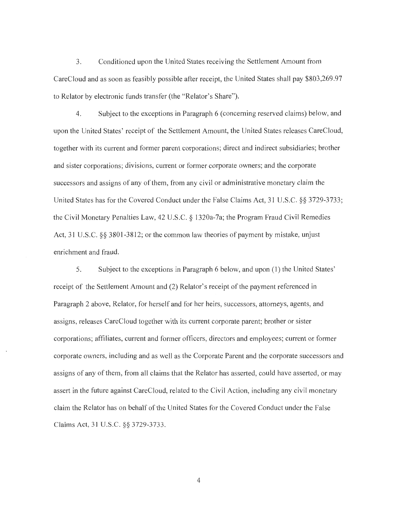3. Conditioned upon the United States receiving the Settlement Amount from CareCloud and as soon as feasibly possible after receipt, the United States shall pay \$803,269.97 to Relator by electronic funds transfer (the "Relator's Share").

4. Subject to the exceptions in Paragraph 6 (concerning reserved claims) below, and upon the United States' receipt of the Settlement Amount, the United States releases CareCloud, together with its current and former parent corporations; direct and indirect subsidiaries; brother and sister corporations; divisions, current or former corporate owners; and the corporate successors and assigns of any of them, from any civil or administrative monetary claim the United States has for the Covered Conduct under the False Claims Act, 31 U.S.C. §§ 3729-3733; the Civil Monetary Penalties Law, 42 U.S.C. § l 320a-7a; the Program Fraud Civil Remedies Act, 31 U.S.C. §§ 3801-3812; or the common law theories of payment by mistake, unjust enrichment and fraud.

5. Subject to the exceptions in Paragraph 6 below, and upon (1) the United States' receipt of the Settlement Amount and (2) Relator's receipt of the payment referenced in Paragraph 2 above, Relator, for herself and for her heirs, successors, attorneys, agents, and assigns, releases CareCloud together with its current corporate parent; brother or sister corporations; affiliates, current and former officers, directors and employees; current or former corporate owners, including and as well as the Corporate Parent and the corporate successors and assigns of any of them, from all claims that the Relator has asserted, could have asserted, or may assert in the future against CareCloud, related to the Civil Action, including any civil monetary claim the Relator has on behalf of the United States for the Covered Conduct under the False Claims Act, 31 U.S.C. §§ 3729-3733.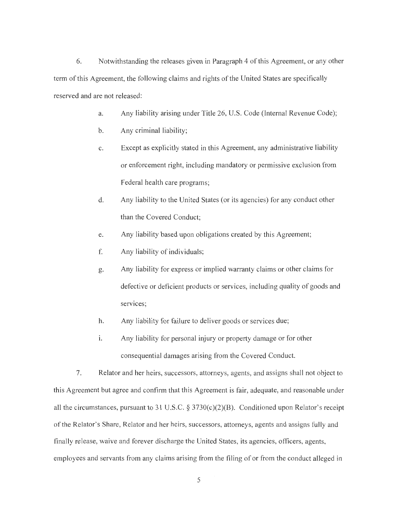6. Notwithstanding the releases given in Paragraph 4 of this Agreement, or any other term of this Agreement, the following claims and rights of the United States are specifically reserved and are not released:

- a. Any liability arising under Title 26, U.S. Code (Internal Revenue Code);
- b. Any criminal liability;
- c. Except as explicitly stated in this Agreement, any administrative liability or enforcement right, including mandatory or permissive exclusion from Federal health care programs;
- d. Any liability to the United States (or its agencies) for any conduct other than the Covered Conduct;
- e. Any liability based upon obligations created by this Agreement;
- f. Any liability of individuals;
- g. Any liability for express or implied warranty claims or other claims for defective or deficient products or services, including quality of goods and services;
- h. Any liability for failure to deliver goods or services due;
- 1. Any liability for personal injury or property damage or for other consequential damages arising from the Covered Conduct.

7. Relator and her heirs, successors, attorneys, agents, and assigns shall not object to this Agreement but agree and confirm that this Agreement is fair, adequate, and reasonable under all the circumstances, pursuant to 31 U.S.C. § 3730(c)(2)(B). Conditioned upon Relator's receipt of the Relator's Share, Relator and her heirs, successors, attorneys, agents and assigns fully and finally release, waive and forever discharge the United States, its agencies, officers, agents, employees and servants from any claims arising from the filing of or from the conduct alleged in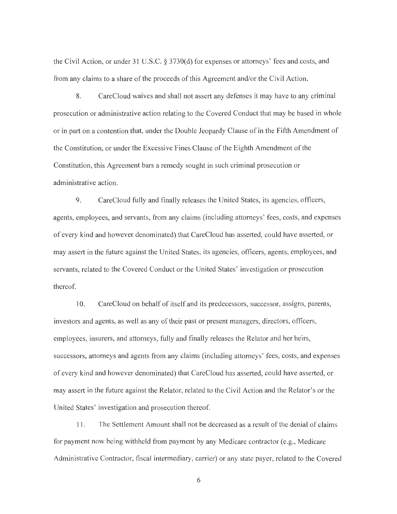the Civil Action, or under 31 U.S.C. § 3730(d) for expenses or attorneys' fees and costs, and from any claims to a share of the proceeds of this Agreement and/or the Civil Action.

8. CareCloud waives and shall not assert any defenses it may have to any criminal prosecution or administrative action relating to the Covered Conduct that may be based in whole or in part on a contention that, under the Double Jeopardy Clause of in the Fifth Amendment of the Constitution, or under the Excessive Fines Clause of the Eighth Amendment of the Constitution, this Agreement bars a remedy sought in such criminal prosecution or administrative action.

9. CareCloud fully and finally releases the United States, its agencies, officers, agents, employees, and servants, from any claims (including attorneys' fees, costs, and expenses of every kind and however denominated) that CareCloud has asserted, could have asserted, or may assert in the future against the United States, its agencies, officers, agents, employees, and servants, related to the Covered Conduct or the United States' investigation or prosecution thereof.

10. CareCloud on behalf of itself and its predecessors, successor, assigns, parents, investors and agents, as well as any of their past or present managers, directors, officers, employees, insurers, and attorneys, fully and finally releases the Relator and her heirs, successors, attorneys and agents from any claims (including attorneys' fees, costs, and expenses of every kind and however denominated) that CareCloud has asserted, could have asserted, or may assert in the future against the Relator, related to the Civil Action and the Relator's or the United States' investigation and prosecution thereof.

11. The Settlement Amount shall not be decreased as a result of the denial of claims for payment now being withheld from payment by any Medicare contractor (e.g., Medicare Administrative Contractor, fiscal intermediary, carrier) or any state payer, related to the Covered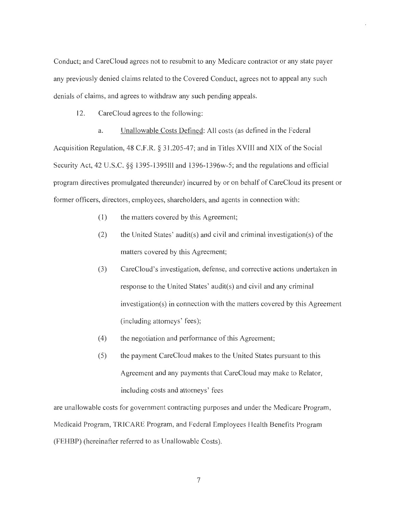Conduct; and CareCloud agrees not to resubmit to any Medicare contractor or any state payer any previously denied claims related to the Covered Conduct, agrees not to appeal any such denials of claims, and agrees to withdraw any such pending appeals.

12. CareCloud agrees to the following:

a. Unallowable Costs Defined: All costs (as defined in the Federal Acquisition Regulation, 48 C.F.R. § 31.205-47; and in Titles XVIII and XIX of the Social Security Act, 42 U.S.C. §§ 1395-1395111 and 1396-1396w-5; and the regulations and official program directives promulgated thereunder) incurred by or on behalf of CareCloud its present or former officers, directors, employees, shareholders, and agents in connection with:

- (1) the matters covered by this Agreement;
- (2) the United States' audit(s) and civil and criminal investigation(s) of the matters covered by this Agreement;
- (3) CareCloud's investigation, defense, and corrective actions undertaken in response to the United States' audit(s) and civil and any criminal investigation(s) in connection with the matters covered by this Agreement (including attorneys' fees);
- (4) the negotiation and performance of this Agreement;
- (5) the payment CareCloud makes to the United States pursuant to this Agreement and any payments that CareCloud may make to Relator, including costs and attorneys' fees

are unallowable costs for government contracting purposes and under the Medicare Program, Medicaid Program, TRICARE Program, and Federal Employees Health Benefits Program (FEHBP) (hereinafter referred to as Unallowable Costs).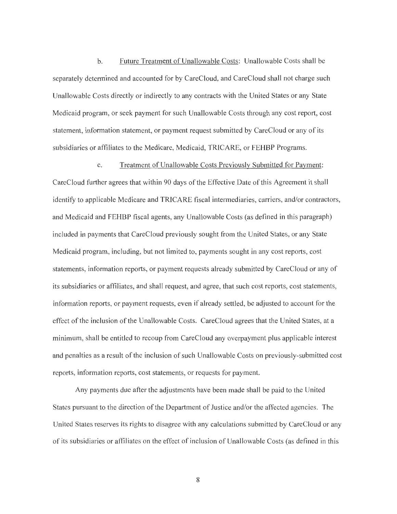b. Future Treatment of Unallowable Costs: Unallowable Costs shall be separately determined and accounted for by CareCloud, and CareCloud shall not charge such Unallowable Costs directly or indirectly to any contracts with the United States or any State Medicaid program, or seek payment for such Unallowable Costs through any cost report, cost statement, information statement, or payment request submitted by CareCloud or any of its subsidiaries or affiliates to the Medicare, Medicaid, TRICARE, or FEHBP Programs.

#### c. Treatment of Unallowable Costs Previously Submitted for Payment:

CareCloud further agrees that within 90 days of the Effective Date of this Agreement it shall identify to applicable Medicare and TRICARE fiscal intermediaries, carriers, and/or contractors, and Medicaid and FEHBP fiscal agents, any Unallowable Costs (as defined in this paragraph) included in payments that CareCloud previously sought from the United States, or any State Medicaid program, including, but not limited to, payments sought in any cost reports, cost statements, information reports, or payment requests already submitted by CareCloud or any of its subsidiaries or affiliates, and shall request, and agree, that such cost reports, cost statements, information reports, or payment requests, even if already settled, be adjusted to account for the effect of the inclusion of the Unallowable Costs. CareCloud agrees that the United States, at a minimum, shall be entitled to recoup from CareCloud any overpayment plus applicable interest and penalties as a result of the inclusion of such Unallowable Costs on previously-submitted cost reports, information reports, cost statements, or requests for payment.

Any payments due after the adjustments have been made shall be paid to the United States pursuant to the direction of the Department of Justice and/or the affected agencies. The United States reserves its rights to disagree with any calculations submitted by CareCloud or any of its subsidiaries or affiliates on the effect of inclusion of Unallowable Costs (as defined in this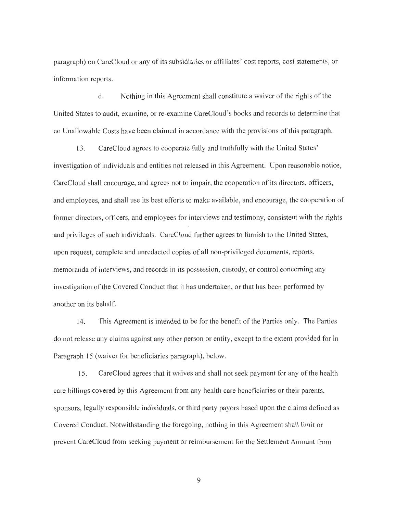paragraph) on CareCloud or any of its subsidiaries or affiliates' cost reports, cost statements, or information reports.

d. Nothing in this Agreement shall constitute a waiver of the rights of the United States to audit, examine, or re-examine CareCloud's books and records to determine that no Unallowable Costs have been claimed in accordance with the provisions of this paragraph.

13. CareCloud agrees to cooperate fully and truthfully with the United States' investigation of individuals and entities not released in this Agreement. Upon reasonable notice, CareCloud shall encourage, and agrees not to impair, the cooperation of its directors, officers, and employees, and shall use its best efforts to make available, and encourage, the cooperation of former directors, officers, and employees for interviews and testimony, consistent with the rights and privileges of such individuals. CareCloud further agrees to furnish to the United States, upon request, complete and unredacted copies of all non-privileged documents, reports, memoranda of interviews, and records in its possession, custody, or control concerning any investigation of the Covered Conduct that it has undertaken, or that has been performed by another on its behalf.

14. This Agreement is intended to be for the benefit of the Parties only. The Parties do not release any claims against any other person or entity, except to the extent provided for in Paragraph 15 (waiver for beneficiaries paragraph), below.

15. CareCloud agrees that it waives and shall not seek payment for any of the health care billings covered by this Agreement from any health care beneficiaries or their parents, sponsors, legally responsible individuals, or third party payors based upon the claims defined as Covered Conduct. Notwithstanding the foregoing, nothing in this Agreement shall limit or prevent CareCloud from seeking payment or reimbursement for the Settlement Amount from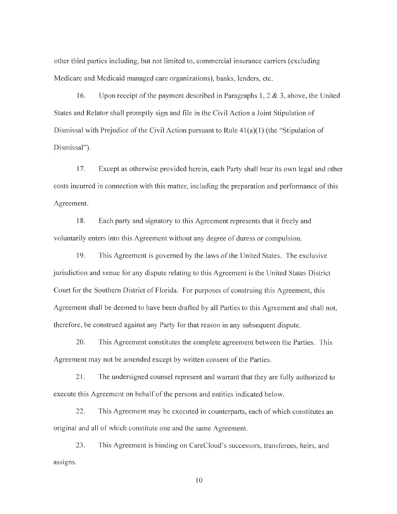other third parties including, but not limited to, commercial insurance carriers ( excluding Medicare and Medicaid managed care organizations), banks, lenders, etc.

16. Upon receipt of the payment described in Paragraphs 1,  $2 \& 3$ , above, the United States and Relator shall promptly sign and file in the Civil Action a Joint Stipulation of Dismissal with Prejudice of the Civil Action pursuant to Rule  $41(a)(1)$  (the "Stipulation of Dismissal").

17. Except as otherwise provided herein, each Party shall bear its own legal and other costs incurred in connection with this matter, including the preparation and performance of this Agreement.

18. Each party and signatory to this Agreement represents that it freely and voluntarily enters into this Agreement without any degree of duress or compulsion.

19. This Agreement is governed by the laws of the United States. The exclusive jurisdiction and venue for any dispute relating to this Agreement is the United States District Court for the Southern District of Florida. For purposes of construing this Agreement, this Agreement shall be deemed to have been drafted by all Parties to this Agreement and shall not, therefore, be construed against any Party for that reason in any subsequent dispute.

20. This Agreement constitutes the complete agreement between the Parties. This Agreement may not be amended except by written consent of the Parties.

21. The undersigned counsel represent and warrant that they are fully authorized to execute this Agreement on behalf of the persons and entities indicated below.

22. This Agreement may be executed in counterparts, each of which constitutes an original and all of which constitute one and the same Agreement.

23. This Agreement is binding on CareCloud's successors, transferees, heirs, and assigns.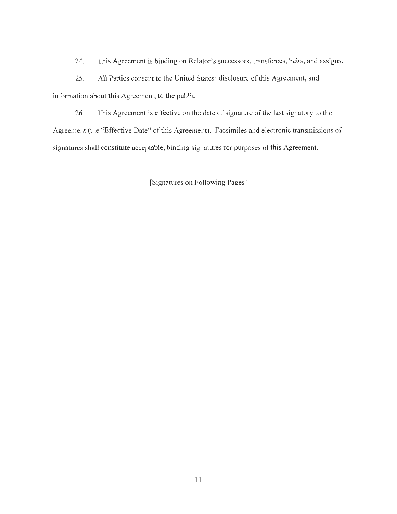24. This Agreement is binding on Relator's successors, transferees, heirs, and assigns.

25. All Parties consent to the United States' disclosure of this Agreement, and information about this Agreement, to the public.

26. This Agreement is effective on the date of signature of the last signatory to the Agreement (the "Effective Date" of this Agreement). Facsimiles and electronic transmissions of signatures shall constitute acceptable, binding signatures for purposes of this Agreement.

[Signatures on Following Pages]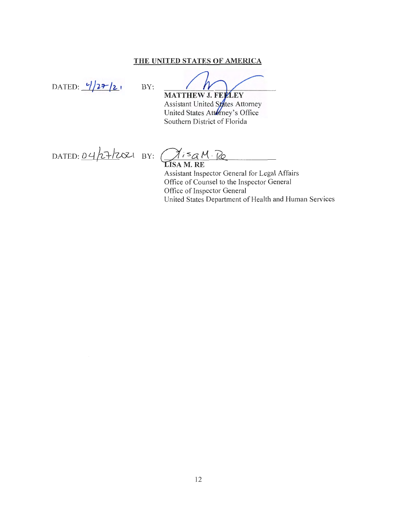## **THE UNITED STATES OF AMERICA**

DATED:  $\frac{1}{2\tau/2}$ , BY:

**MATTHEW J. FEPLEY** Assistant United States Attorney United States Attorney's Office Southern District of Florida

 $D$ ATED:  $\frac{\partial 4}{\partial 1}$   $\frac{1}{2}$   $\frac{1}{2}$   $\frac{1}{2}$   $\frac{1}{2}$   $\frac{1}{2}$ 

 $Q$ <sup>is  $q$ </sup> M  $R$ 

Assistant Inspector General for Legal Affairs Office of Counsel to the Inspector General Office of Inspector General United States Department of Health and Human Services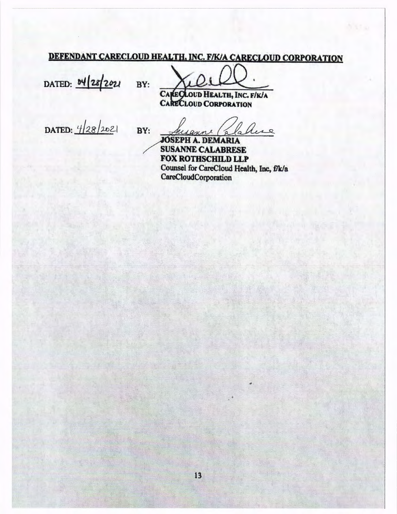# DEFENDANT CARECLOUD HEALTH. INC. F/K/A CARECLOUD CORPORATION

DATED: **b4 28 2021** BY:

FIKIA CARECLOUD CORPORATI<br>LALTH, INC. FIKIA

oud Health, LOUD CORPORATION

DATED:  $4|28/202|$ 

BY:

Chese fersaunt (a

**SEPH A. DEMARIA SUSANNE CALABRESE FOX ROTHSCHILD LLP**  Counsel for CareCloud Health, Inc., f/k/a CareCloudCorporation